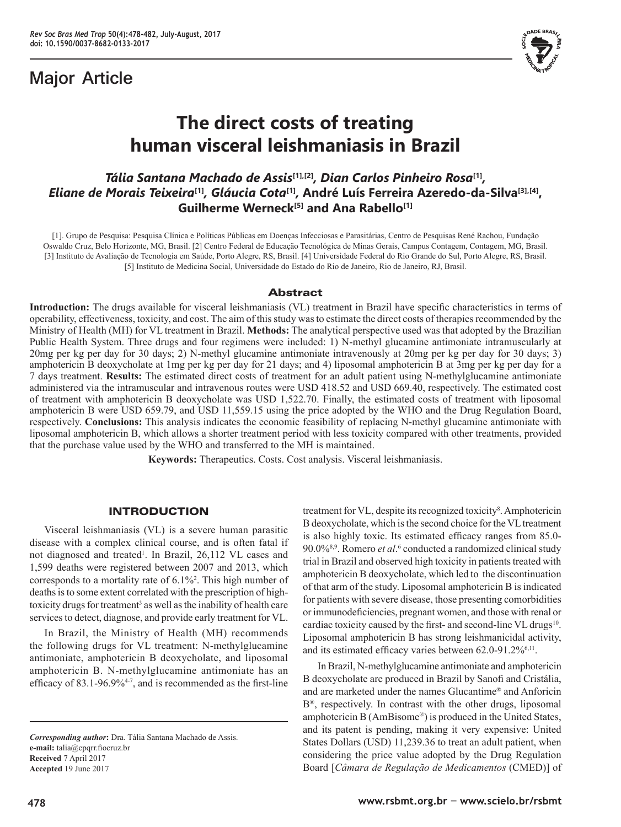## **Major Article**



# **The direct costs of treating human visceral leishmaniasis in Brazil**

## *Tália Santana Machado de Assis***[1],[2]***, Dian Carlos Pinheiro Rosa***[1]***, Eliane de Morais Teixeira***[1]***, Gláucia Cota***[1]***,* **André Luís Ferreira Azeredo-da-Silva[3],[4], Guilherme Werneck[5] and Ana Rabello[1]**

[1]. Grupo de Pesquisa: Pesquisa Clínica e Políticas Públicas em Doenças Infecciosas e Parasitárias, Centro de Pesquisas René Rachou, Fundação Oswaldo Cruz, Belo Horizonte, MG, Brasil. [2] Centro Federal de Educação Tecnológica de Minas Gerais, Campus Contagem, Contagem, MG, Brasil. [3] Instituto de Avaliação de Tecnologia em Saúde, Porto Alegre, RS, Brasil. [4] Universidade Federal do Rio Grande do Sul, Porto Alegre, RS, Brasil. [5] Instituto de Medicina Social, Universidade do Estado do Rio de Janeiro, Rio de Janeiro, RJ, Brasil.

## **Abstract**

**Introduction:** The drugs available for visceral leishmaniasis (VL) treatment in Brazil have specific characteristics in terms of operability, effectiveness, toxicity, and cost. The aim of this study was to estimate the direct costs of therapies recommended by the Ministry of Health (MH) for VL treatment in Brazil. **Methods:** The analytical perspective used was that adopted by the Brazilian Public Health System. Three drugs and four regimens were included: 1) N-methyl glucamine antimoniate intramuscularly at 20mg per kg per day for 30 days; 2) N-methyl glucamine antimoniate intravenously at 20mg per kg per day for 30 days; 3) amphotericin B deoxycholate at 1mg per kg per day for 21 days; and 4) liposomal amphotericin B at 3mg per kg per day for a 7 days treatment. **Results:** The estimated direct costs of treatment for an adult patient using N-methylglucamine antimoniate administered via the intramuscular and intravenous routes were USD 418.52 and USD 669.40, respectively. The estimated cost of treatment with amphotericin B deoxycholate was USD 1,522.70. Finally, the estimated costs of treatment with liposomal amphotericin B were USD 659.79, and USD 11,559.15 using the price adopted by the WHO and the Drug Regulation Board, respectively. **Conclusions:** This analysis indicates the economic feasibility of replacing N-methyl glucamine antimoniate with liposomal amphotericin B, which allows a shorter treatment period with less toxicity compared with other treatments, provided that the purchase value used by the WHO and transferred to the MH is maintained.

**Keywords:** Therapeutics. Costs. Cost analysis. Visceral leishmaniasis.

## INTRODUCTION

Visceral leishmaniasis (VL) is a severe human parasitic disease with a complex clinical course, and is often fatal if not diagnosed and treated<sup>1</sup>. In Brazil, 26,112 VL cases and 1,599 deaths were registered between 2007 and 2013, which corresponds to a mortality rate of 6.1%<sup>2</sup> . This high number of deaths is to some extent correlated with the prescription of hightoxicity drugs for treatment<sup>3</sup> as well as the inability of health care services to detect, diagnose, and provide early treatment for VL.

In Brazil, the Ministry of Health (MH) recommends the following drugs for VL treatment: N-methylglucamine antimoniate, amphotericin B deoxycholate, and liposomal amphotericin B. N-methylglucamine antimoniate has an efficacy of 83.1-96.9%<sup>4-7</sup>, and is recommended as the first-line

*Corresponding author***:** Dra. Tália Santana Machado de Assis. **e-mail:** talia@cpqrr.fiocruz.br **Received** 7 April 2017 **Accepted** 19 June 2017

treatment for VL, despite its recognized toxicity<sup>8</sup>. Amphotericin B deoxycholate, which is the second choice for the VL treatment is also highly toxic. Its estimated efficacy ranges from 85.0- 90.0%<sup>8,9</sup>. Romero *et al*.<sup>6</sup> conducted a randomized clinical study trial in Brazil and observed high toxicity in patients treated with amphotericin B deoxycholate, which led to the discontinuation of that arm of the study. Liposomal amphotericin B is indicated for patients with severe disease, those presenting comorbidities or immunodeficiencies, pregnant women, and those with renal or cardiac toxicity caused by the first- and second-line VL drugs<sup>10</sup>. Liposomal amphotericin B has strong leishmanicidal activity, and its estimated efficacy varies between 62.0-91.2%6,11.

In Brazil, N-methylglucamine antimoniate and amphotericin B deoxycholate are produced in Brazil by Sanofi and Cristália, and are marketed under the names Glucantime® and Anforicin B®, respectively. In contrast with the other drugs, liposomal amphotericin B (AmBisome®) is produced in the United States, and its patent is pending, making it very expensive: United States Dollars (USD) 11,239.36 to treat an adult patient, when considering the price value adopted by the Drug Regulation Board [*Câmara de Regulação de Medicamentos* (CMED)] of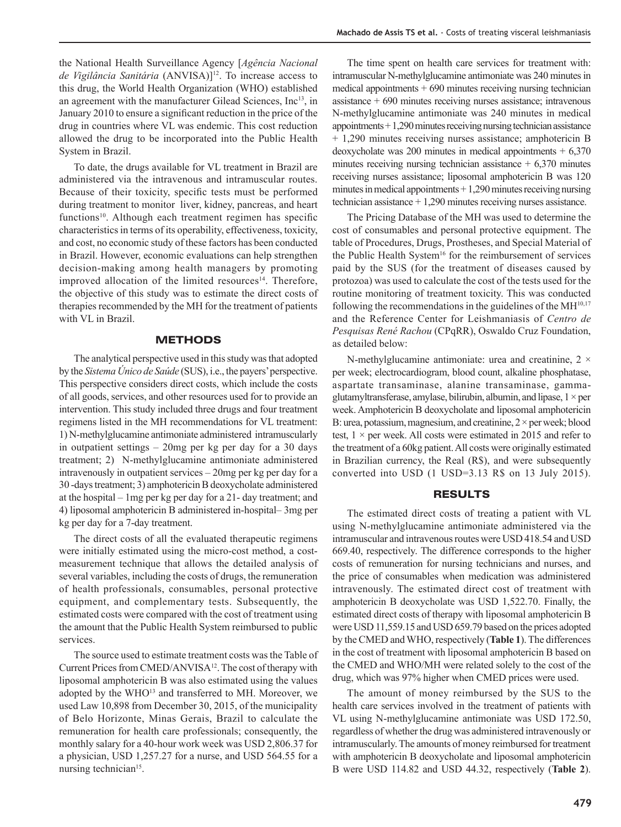the National Health Surveillance Agency [*Agência Nacional de Vigilância Sanitária* (ANVISA)]12. To increase access to this drug, the World Health Organization (WHO) established an agreement with the manufacturer Gilead Sciences, Inc<sup>13</sup>, in January 2010 to ensure a significant reduction in the price of the drug in countries where VL was endemic. This cost reduction allowed the drug to be incorporated into the Public Health System in Brazil.

To date, the drugs available for VL treatment in Brazil are administered via the intravenous and intramuscular routes. Because of their toxicity, specific tests must be performed during treatment to monitor liver, kidney, pancreas, and heart functions<sup>10</sup>. Although each treatment regimen has specific characteristics in terms of its operability, effectiveness, toxicity, and cost, no economic study of these factors has been conducted in Brazil. However, economic evaluations can help strengthen decision-making among health managers by promoting improved allocation of the limited resources<sup>14</sup>. Therefore, the objective of this study was to estimate the direct costs of therapies recommended by the MH for the treatment of patients with VL in Brazil.

## **METHODS**

The analytical perspective used in this study was that adopted by the *Sistema Único de Saúde* (SUS), i.e., the payers' perspective. This perspective considers direct costs, which include the costs of all goods, services, and other resources used for to provide an intervention. This study included three drugs and four treatment regimens listed in the MH recommendations for VL treatment: 1) N-methylglucamine antimoniate administered intramuscularly in outpatient settings – 20mg per kg per day for a 30 days treatment; 2) N-methylglucamine antimoniate administered intravenously in outpatient services – 20mg per kg per day for a 30 -days treatment; 3) amphotericin B deoxycholate administered at the hospital – 1mg per kg per day for a 21- day treatment; and 4) liposomal amphotericin B administered in-hospital– 3mg per kg per day for a 7-day treatment.

The direct costs of all the evaluated therapeutic regimens were initially estimated using the micro-cost method, a costmeasurement technique that allows the detailed analysis of several variables, including the costs of drugs, the remuneration of health professionals, consumables, personal protective equipment, and complementary tests. Subsequently, the estimated costs were compared with the cost of treatment using the amount that the Public Health System reimbursed to public services.

The source used to estimate treatment costs was the Table of Current Prices from CMED/ANVISA<sup>12</sup>. The cost of therapy with liposomal amphotericin B was also estimated using the values adopted by the WHO<sup>13</sup> and transferred to MH. Moreover, we used Law 10,898 from December 30, 2015, of the municipality of Belo Horizonte, Minas Gerais, Brazil to calculate the remuneration for health care professionals; consequently, the monthly salary for a 40-hour work week was USD 2,806.37 for a physician, USD 1,257.27 for a nurse, and USD 564.55 for a nursing technician<sup>15</sup>.

The time spent on health care services for treatment with: intramuscular N-methylglucamine antimoniate was 240 minutes in medical appointments  $+690$  minutes receiving nursing technician assistance + 690 minutes receiving nurses assistance; intravenous N-methylglucamine antimoniate was 240 minutes in medical appointments + 1,290 minutes receiving nursing technician assistance + 1,290 minutes receiving nurses assistance; amphotericin B deoxycholate was 200 minutes in medical appointments  $+ 6,370$ minutes receiving nursing technician assistance  $+ 6,370$  minutes receiving nurses assistance; liposomal amphotericin B was 120 minutes in medical appointments + 1,290 minutes receiving nursing technician assistance + 1,290 minutes receiving nurses assistance.

The Pricing Database of the MH was used to determine the cost of consumables and personal protective equipment. The table of Procedures, Drugs, Prostheses, and Special Material of the Public Health System<sup>16</sup> for the reimbursement of services paid by the SUS (for the treatment of diseases caused by protozoa) was used to calculate the cost of the tests used for the routine monitoring of treatment toxicity. This was conducted following the recommendations in the guidelines of the  $MH^{10,17}$ and the Reference Center for Leishmaniasis of *Centro de Pesquisas René Rachou* (CPqRR), Oswaldo Cruz Foundation, as detailed below:

N-methylglucamine antimoniate: urea and creatinine,  $2 \times$ per week; electrocardiogram, blood count, alkaline phosphatase, aspartate transaminase, alanine transaminase, gammaglutamyltransferase, amylase, bilirubin, albumin, and lipase,  $1 \times per$ week. Amphotericin B deoxycholate and liposomal amphotericin B: urea, potassium, magnesium, and creatinine,  $2 \times$  per week; blood test,  $1 \times$  per week. All costs were estimated in 2015 and refer to the treatment of a 60kg patient. All costs were originally estimated in Brazilian currency, the Real (R\$), and were subsequently converted into USD (1 USD=3.13 R\$ on 13 July 2015).

### RESULTS

The estimated direct costs of treating a patient with VL using N-methylglucamine antimoniate administered via the intramuscular and intravenous routes were USD 418.54 and USD 669.40, respectively. The difference corresponds to the higher costs of remuneration for nursing technicians and nurses, and the price of consumables when medication was administered intravenously. The estimated direct cost of treatment with amphotericin B deoxycholate was USD 1,522.70. Finally, the estimated direct costs of therapy with liposomal amphotericin B were USD 11,559.15 and USD 659.79 based on the prices adopted by the CMED and WHO, respectively (**Table 1**). The differences in the cost of treatment with liposomal amphotericin B based on the CMED and WHO/MH were related solely to the cost of the drug, which was 97% higher when CMED prices were used.

The amount of money reimbursed by the SUS to the health care services involved in the treatment of patients with VL using N-methylglucamine antimoniate was USD 172.50, regardless of whether the drug was administered intravenously or intramuscularly. The amounts of money reimbursed for treatment with amphotericin B deoxycholate and liposomal amphotericin B were USD 114.82 and USD 44.32, respectively (**Table 2**).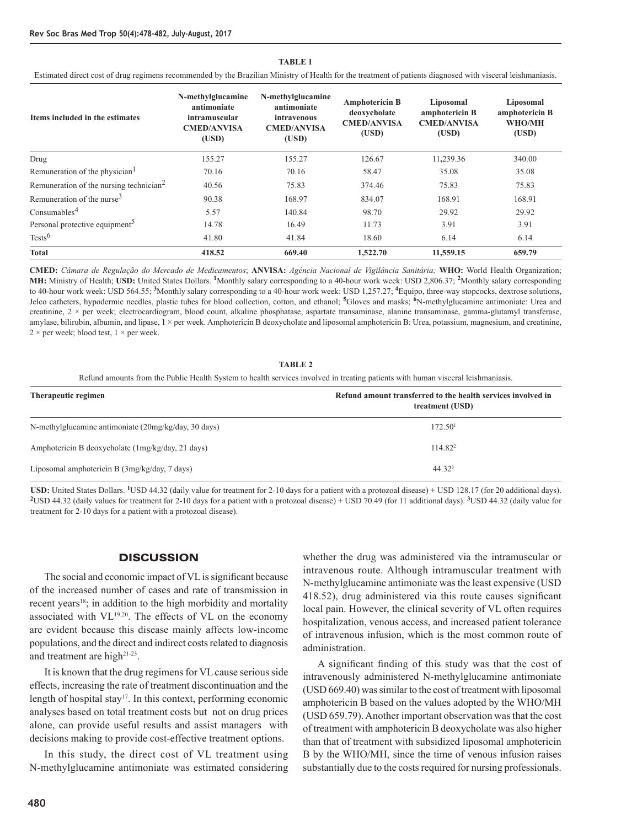| Items included in the estimates                     | N-methylglucamine<br>antimoniate<br>intramuscular<br><b>CMED/ANVISA</b><br>(USD) | N-methylglucamine<br>antimoniate<br>intravenous<br><b>CMED/ANVISA</b><br>(USD) | <b>Amphotericin B</b><br>deoxycholate<br><b>CMED/ANVISA</b><br>(USD) | Liposomal<br>amphotericin B<br><b>CMED/ANVISA</b><br>(USD) | Liposomal<br>amphotericin B<br>WHO/MH<br>(USD) |
|-----------------------------------------------------|----------------------------------------------------------------------------------|--------------------------------------------------------------------------------|----------------------------------------------------------------------|------------------------------------------------------------|------------------------------------------------|
| Drug                                                | 155.27                                                                           | 155.27                                                                         | 126.67                                                               | 11,239.36                                                  | 340.00                                         |
| Remuneration of the physician <sup>1</sup>          | 70.16                                                                            | 70.16                                                                          | 58.47                                                                | 35.08                                                      | 35.08                                          |
| Remuneration of the nursing technician <sup>2</sup> | 40.56                                                                            | 75.83                                                                          | 374.46                                                               | 75.83                                                      | 75.83                                          |
| Remuneration of the nurse <sup>3</sup>              | 90.38                                                                            | 168.97                                                                         | 834.07                                                               | 168.91                                                     | 168.91                                         |
| Consumables <sup>4</sup>                            | 5.57                                                                             | 140.84                                                                         | 98.70                                                                | 29.92                                                      | 29.92                                          |
| Personal protective equipment <sup>5</sup>          | 14.78                                                                            | 16.49                                                                          | 11.73                                                                | 3.91                                                       | 3.91                                           |
| Tests <sup>6</sup>                                  | 41.80                                                                            | 41.84                                                                          | 18.60                                                                | 6.14                                                       | 6.14                                           |
| <b>Total</b>                                        | 418.52                                                                           | 669.40                                                                         | 1,522.70                                                             | 11,559.15                                                  | 659.79                                         |

#### **TABLE 1**

Estimated direct cost of drug regimens recommended by the Brazilian Ministry of Health for the treatment of patients diagnosed with visceral leishmaniasis.

**CMED:** *Câmara de Regulação do Mercado de Medicamentos*; **ANVISA:** *Agência Nacional de Vigilância Sanitária;* **WHO:** World Health Organization; **MH:** Ministry of Health; **USD:** United States Dollars. **1**Monthly salary corresponding to a 40-hour work week: USD 2,806.37; **2**Monthly salary corresponding to 40-hour work week: USD 564.55; **3**Monthly salary corresponding to a 40-hour work week: USD 1,257.27; **4**Equipo, three-way stopcocks, dextrose solutions, Jelco catheters, hypodermic needles, plastic tubes for blood collection, cotton, and ethanol; **5**Gloves and masks; **6**N-methylglucamine antimoniate: Urea and creatinine,  $2 \times$  per week; electrocardiogram, blood count, alkaline phosphatase, aspartate transaminase, alanine transaminase, gamma-glutamyl transferase, amylase, bilirubin, albumin, and lipase,  $1 \times$  per week. Amphotericin B deoxycholate and liposomal amphotericin B: Urea, potassium, magnesium, and creatinine,  $2 \times$  per week; blood test,  $1 \times$  per week.

**TABLE 2**

Refund amounts from the Public Health System to health services involved in treating patients with human visceral leishmaniasis.

| Therapeutic regimen                                  | Refund amount transferred to the health services involved in<br>treatment (USD) |
|------------------------------------------------------|---------------------------------------------------------------------------------|
| N-methylglucamine antimoniate (20mg/kg/day, 30 days) | 172.50 <sup>1</sup>                                                             |
| Amphotericin B deoxycholate (1mg/kg/day, 21 days)    | 114.82 <sup>2</sup>                                                             |
| Liposomal amphotericin B $(3mg/kg/day, 7 days)$      | 44.32 <sup>3</sup>                                                              |

**USD:** United States Dollars. **1**USD 44.32 (daily value for treatment for 2-10 days for a patient with a protozoal disease) + USD 128.17 (for 20 additional days). **<sup>2</sup>**USD 44.32 (daily values for treatment for 2-10 days for a patient with a protozoal disease) + USD 70.49 (for 11 additional days). **3**USD 44.32 (daily value for treatment for 2-10 days for a patient with a protozoal disease).

## **DISCUSSION**

The social and economic impact of VL is significant because of the increased number of cases and rate of transmission in recent years<sup>18</sup>; in addition to the high morbidity and mortality associated with VL19,20. The effects of VL on the economy are evident because this disease mainly affects low-income populations, and the direct and indirect costs related to diagnosis and treatment are high<sup>21-23</sup>.

It is known that the drug regimens for VL cause serious side effects, increasing the rate of treatment discontinuation and the length of hospital stay<sup>17</sup>. In this context, performing economic analyses based on total treatment costs but not on drug prices alone, can provide useful results and assist managers with decisions making to provide cost-effective treatment options.

In this study, the direct cost of VL treatment using N-methylglucamine antimoniate was estimated considering whether the drug was administered via the intramuscular or intravenous route. Although intramuscular treatment with N-methylglucamine antimoniate was the least expensive (USD 418.52), drug administered via this route causes significant local pain. However, the clinical severity of VL often requires hospitalization, venous access, and increased patient tolerance of intravenous infusion, which is the most common route of administration.

A significant finding of this study was that the cost of intravenously administered N-methylglucamine antimoniate (USD 669.40) was similar to the cost of treatment with liposomal amphotericin B based on the values adopted by the WHO/MH (USD 659.79). Another important observation was that the cost of treatment with amphotericin B deoxycholate was also higher than that of treatment with subsidized liposomal amphotericin B by the WHO/MH, since the time of venous infusion raises substantially due to the costs required for nursing professionals.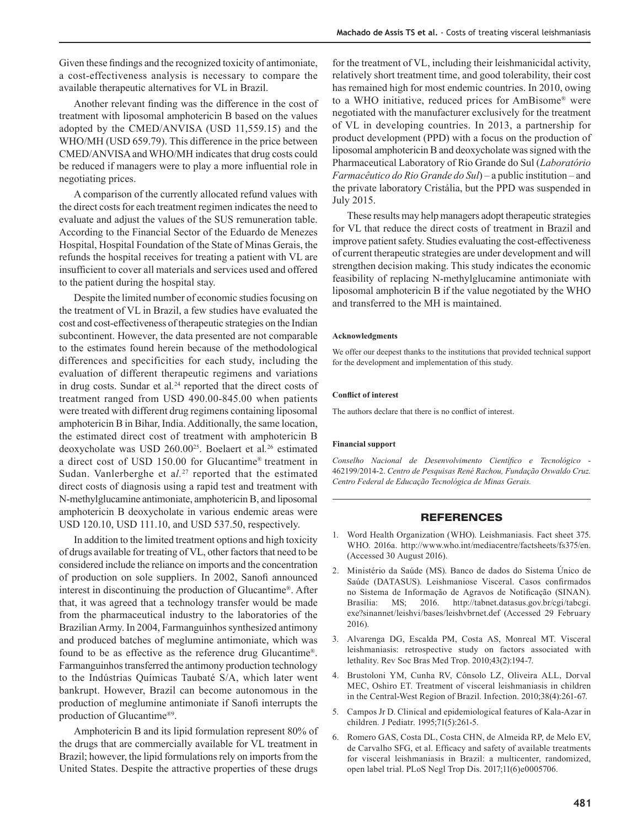Given these findings and the recognized toxicity of antimoniate, a cost-effectiveness analysis is necessary to compare the available therapeutic alternatives for VL in Brazil.

Another relevant finding was the difference in the cost of treatment with liposomal amphotericin B based on the values adopted by the CMED/ANVISA (USD 11,559.15) and the WHO/MH (USD 659.79). This difference in the price between CMED/ANVISA and WHO/MH indicates that drug costs could be reduced if managers were to play a more influential role in negotiating prices.

A comparison of the currently allocated refund values with the direct costs for each treatment regimen indicates the need to evaluate and adjust the values of the SUS remuneration table. According to the Financial Sector of the Eduardo de Menezes Hospital, Hospital Foundation of the State of Minas Gerais, the refunds the hospital receives for treating a patient with VL are insufficient to cover all materials and services used and offered to the patient during the hospital stay.

Despite the limited number of economic studies focusing on the treatment of VL in Brazil, a few studies have evaluated the cost and cost-effectiveness of therapeutic strategies on the Indian subcontinent. However, the data presented are not comparable to the estimates found herein because of the methodological differences and specificities for each study, including the evaluation of different therapeutic regimens and variations in drug costs. Sundar et al*.* 24 reported that the direct costs of treatment ranged from USD 490.00-845.00 when patients were treated with different drug regimens containing liposomal amphotericin B in Bihar, India. Additionally, the same location, the estimated direct cost of treatment with amphotericin B deoxycholate was USD 260.00<sup>25</sup>. Boelaert et al*.* 26 estimated a direct cost of USD 150.00 for Glucantime® treatment in Sudan. Vanlerberghe et a*l.*<sup>27</sup> reported that the estimated direct costs of diagnosis using a rapid test and treatment with N-methylglucamine antimoniate, amphotericin B, and liposomal amphotericin B deoxycholate in various endemic areas were USD 120.10, USD 111.10, and USD 537.50, respectively.

In addition to the limited treatment options and high toxicity of drugs available for treating of VL, other factors that need to be considered include the reliance on imports and the concentration of production on sole suppliers. In 2002, Sanofi announced interest in discontinuing the production of Glucantime®. After that, it was agreed that a technology transfer would be made from the pharmaceutical industry to the laboratories of the Brazilian Army. In 2004, Farmanguinhos synthesized antimony and produced batches of meglumine antimoniate, which was found to be as effective as the reference drug Glucantime®. Farmanguinhos transferred the antimony production technology to the Indústrias Químicas Taubaté S/A, which later went bankrupt. However, Brazil can become autonomous in the production of meglumine antimoniate if Sanofi interrupts the production of Glucantime®9.

Amphotericin B and its lipid formulation represent 80% of the drugs that are commercially available for VL treatment in Brazil; however, the lipid formulations rely on imports from the United States. Despite the attractive properties of these drugs

for the treatment of VL, including their leishmanicidal activity, relatively short treatment time, and good tolerability, their cost has remained high for most endemic countries. In 2010, owing to a WHO initiative, reduced prices for AmBisome® were negotiated with the manufacturer exclusively for the treatment of VL in developing countries. In 2013, a partnership for product development (PPD) with a focus on the production of liposomal amphotericin B and deoxycholate was signed with the Pharmaceutical Laboratory of Rio Grande do Sul (*Laboratório Farmacêutico do Rio Grande do Sul*) – a public institution – and the private laboratory Cristália, but the PPD was suspended in July 2015.

These results may help managers adopt therapeutic strategies for VL that reduce the direct costs of treatment in Brazil and improve patient safety. Studies evaluating the cost-effectiveness of current therapeutic strategies are under development and will strengthen decision making. This study indicates the economic feasibility of replacing N-methylglucamine antimoniate with liposomal amphotericin B if the value negotiated by the WHO and transferred to the MH is maintained.

#### **Acknowledgments**

We offer our deepest thanks to the institutions that provided technical support for the development and implementation of this study.

#### **Conflict of interest**

The authors declare that there is no conflict of interest.

#### **Financial support**

*Conselho Nacional de Desenvolvimento Científico e Tecnológico* - 462199/2014-2. *Centro de Pesquisas René Rachou, Fundação Oswaldo Cruz. Centro Federal de Educação Tecnológica de Minas Gerais.*

#### **REFERENCES**

- 1. Word Health Organization (WHO). Leishmaniasis. Fact sheet 375. WHO. 2016a. http://www.who.int/mediacentre/factsheets/fs375/en. (Accessed 30 August 2016).
- 2. Ministério da Saúde (MS). Banco de dados do Sistema Único de Saúde (DATASUS). Leishmaniose Visceral. Casos confirmados no Sistema de Informação de Agravos de Notificação (SINAN). Brasília: MS; 2016. http://tabnet.datasus.gov.br/cgi/tabcgi. exe?sinannet/leishvi/bases/leishvbrnet.def (Accessed 29 February 2016).
- 3. Alvarenga DG, Escalda PM, Costa AS, Monreal MT. Visceral leishmaniasis: retrospective study on factors associated with lethality. Rev Soc Bras Med Trop. 2010;43(2):194-7.
- 4. Brustoloni YM, Cunha RV, Cônsolo LZ, Oliveira ALL, Dorval MEC, Oshiro ET. Treatment of visceral leishmaniasis in children in the Central-West Region of Brazil. Infection. 2010;38(4):261-67.
- 5. Campos Jr D. Clinical and epidemiological features of Kala-Azar in children*.* J Pediatr. 1995;71(5):261-5.
- 6. Romero GAS, Costa DL, Costa CHN, de Almeida RP, de Melo EV, de Carvalho SFG, et al. Efficacy and safety of available treatments for visceral leishmaniasis in Brazil: a multicenter, randomized, open label trial. PLoS Negl Trop Dis. 2017;11(6)e0005706.